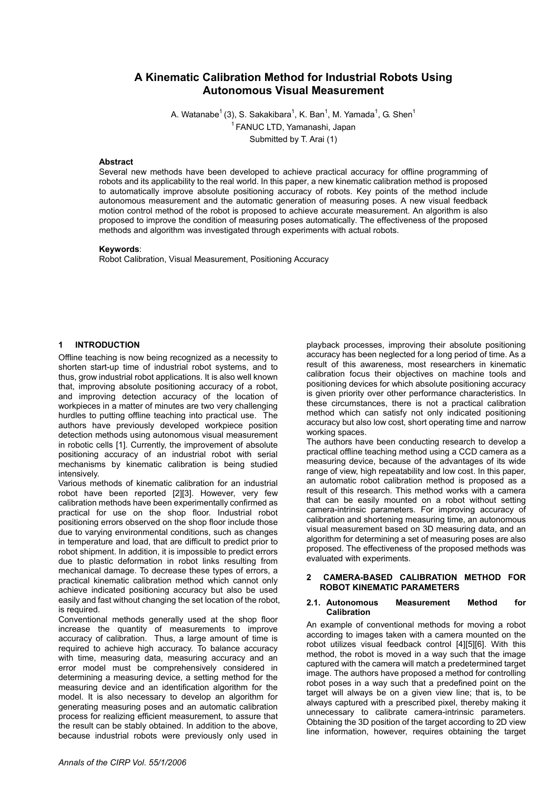## **A Kinematic Calibration Method for Industrial Robots Using Autonomous Visual Measurement**

A. Watanabe<sup>1</sup> (3), S. Sakakibara<sup>1</sup>, K. Ban<sup>1</sup>, M. Yamada<sup>1</sup>, G. Shen<sup>1</sup> 1 FANUC LTD, Yamanashi, Japan Submitted by T. Arai (1)

## **Abstract**

Several new methods have been developed to achieve practical accuracy for offline programming of robots and its applicability to the real world. In this paper, a new kinematic calibration method is proposed to automatically improve absolute positioning accuracy of robots. Key points of the method include autonomous measurement and the automatic generation of measuring poses. A new visual feedback motion control method of the robot is proposed to achieve accurate measurement. An algorithm is also proposed to improve the condition of measuring poses automatically. The effectiveness of the proposed methods and algorithm was investigated through experiments with actual robots.

### **Keywords**:

Robot Calibration, Visual Measurement, Positioning Accuracy

## **INTRODUCTION**

Offline teaching is now being recognized as a necessity to shorten start-up time of industrial robot systems, and to thus, grow industrial robot applications. It is also well known that, improving absolute positioning accuracy of a robot, and improving detection accuracy of the location of workpieces in a matter of minutes are two very challenging hurdles to putting offline teaching into practical use. The authors have previously developed workpiece position detection methods using autonomous visual measurement in robotic cells [1]. Currently, the improvement of absolute positioning accuracy of an industrial robot with serial mechanisms by kinematic calibration is being studied intensively.

Various methods of kinematic calibration for an industrial robot have been reported [2][3]. However, very few calibration methods have been experimentally confirmed as practical for use on the shop floor. Industrial robot positioning errors observed on the shop floor include those due to varying environmental conditions, such as changes in temperature and load, that are difficult to predict prior to robot shipment. In addition, it is impossible to predict errors due to plastic deformation in robot links resulting from mechanical damage. To decrease these types of errors, a practical kinematic calibration method which cannot only achieve indicated positioning accuracy but also be used easily and fast without changing the set location of the robot, is required.

Conventional methods generally used at the shop floor increase the quantity of measurements to improve accuracy of calibration. Thus, a large amount of time is required to achieve high accuracy. To balance accuracy with time, measuring data, measuring accuracy and an error model must be comprehensively considered in determining a measuring device, a setting method for the measuring device and an identification algorithm for the model. It is also necessary to develop an algorithm for generating measuring poses and an automatic calibration process for realizing efficient measurement, to assure that the result can be stably obtained. In addition to the above, because industrial robots were previously only used in

playback processes, improving their absolute positioning accuracy has been neglected for a long period of time. As a result of this awareness, most researchers in kinematic calibration focus their objectives on machine tools and positioning devices for which absolute positioning accuracy is given priority over other performance characteristics. In these circumstances, there is not a practical calibration method which can satisfy not only indicated positioning accuracy but also low cost, short operating time and narrow working spaces.

The authors have been conducting research to develop a practical offline teaching method using a CCD camera as a measuring device, because of the advantages of its wide range of view, high repeatability and low cost. In this paper, an automatic robot calibration method is proposed as a result of this research. This method works with a camera that can be easily mounted on a robot without setting camera-intrinsic parameters. For improving accuracy of calibration and shortening measuring time, an autonomous visual measurement based on 3D measuring data, and an algorithm for determining a set of measuring poses are also proposed. The effectiveness of the proposed methods was evaluated with experiments.

## **2 CAMERA-BASED CALIBRATION METHOD FOR ROBOT KINEMATIC PARAMETERS**

### **2.1. Autonomous Measurement Method for Calibration**

An example of conventional methods for moving a robot according to images taken with a camera mounted on the robot utilizes visual feedback control [4][5][6]. With this method, the robot is moved in a way such that the image captured with the camera will match a predetermined target image. The authors have proposed a method for controlling robot poses in a way such that a predefined point on the target will always be on a given view line; that is, to be always captured with a prescribed pixel, thereby making it unnecessary to calibrate camera-intrinsic parameters. Obtaining the 3D position of the target according to 2D view line information, however, requires obtaining the target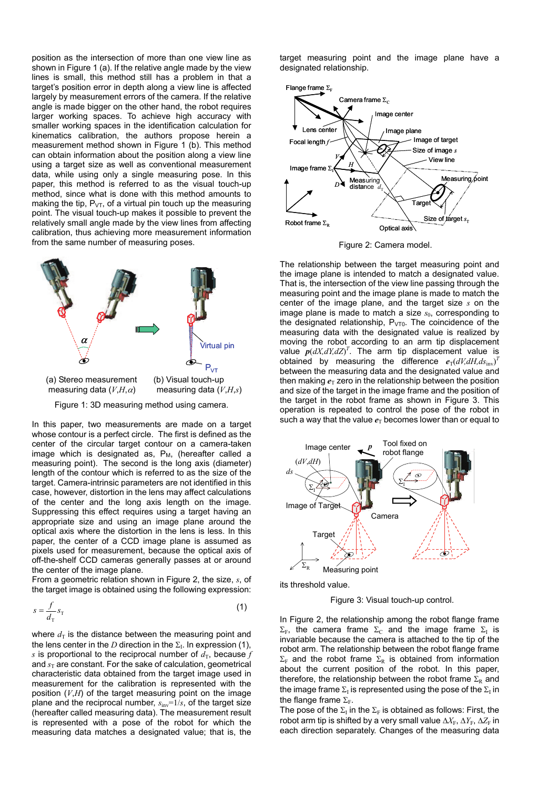position as the intersection of more than one view line as shown in Figure 1 (a). If the relative angle made by the view lines is small, this method still has a problem in that a target's position error in depth along a view line is affected largely by measurement errors of the camera. If the relative angle is made bigger on the other hand, the robot requires larger working spaces. To achieve high accuracy with smaller working spaces in the identification calculation for kinematics calibration, the authors propose herein a measurement method shown in Figure 1 (b). This method can obtain information about the position along a view line using a target size as well as conventional measurement data, while using only a single measuring pose. In this paper, this method is referred to as the visual touch-up method, since what is done with this method amounts to making the tip,  $P_{\text{VT}}$ , of a virtual pin touch up the measuring point. The visual touch-up makes it possible to prevent the relatively small angle made by the view lines from affecting calibration, thus achieving more measurement information from the same number of measuring poses.



Figure 1: 3D measuring method using camera.

In this paper, two measurements are made on a target whose contour is a perfect circle. The first is defined as the center of the circular target contour on a camera-taken image which is designated as,  $P_M$ , (hereafter called a measuring point). The second is the long axis (diameter) length of the contour which is referred to as the size of the target. Camera-intrinsic parameters are not identified in this case, however, distortion in the lens may affect calculations of the center and the long axis length on the image. Suppressing this effect requires using a target having an appropriate size and using an image plane around the optical axis where the distortion in the lens is less. In this paper, the center of a CCD image plane is assumed as pixels used for measurement, because the optical axis of off-the-shelf CCD cameras generally passes at or around the center of the image plane.

From a geometric relation shown in Figure 2, the size, *s*, of the target image is obtained using the following expression:

$$
s = \frac{f}{d_{\rm T}} s_{\rm T} \tag{1}
$$

where  $d<sub>T</sub>$  is the distance between the measuring point and the lens center in the *D* direction in the  $\Sigma_I$ . In expression (1), *s* is proportional to the reciprocal number of  $d<sub>T</sub>$ , because *f* and  $s_T$  are constant. For the sake of calculation, geometrical characteristic data obtained from the target image used in measurement for the calibration is represented with the position (*V*,*H*) of the target measuring point on the image plane and the reciprocal number,  $s_{inv}=1/s$ , of the target size (hereafter called measuring data). The measurement result is represented with a pose of the robot for which the measuring data matches a designated value; that is, the

target measuring point and the image plane have a designated relationship.



Figure 2: Camera model.

The relationship between the target measuring point and the image plane is intended to match a designated value. That is, the intersection of the view line passing through the measuring point and the image plane is made to match the center of the image plane, and the target size *s* on the image plane is made to match a size  $s<sub>0</sub>$ , corresponding to the designated relationship,  $P_{VT0}$ . The coincidence of the measuring data with the designated value is realized by moving the robot according to an arm tip displacement value  $p(dX,dY,dZ)^T$ . The arm tip displacement value is obtained by measuring the difference  $e_T(dV,dH, ds_{\text{inv}})^T$ between the measuring data and the designated value and then making  $e_T$  zero in the relationship between the position and size of the target in the image frame and the position of the target in the robot frame as shown in Figure 3. This operation is repeated to control the pose of the robot in such a way that the value  $e_T$  becomes lower than or equal to



its threshold value.

Figure 3: Visual touch-up control.

In Figure 2, the relationship among the robot flange frame  $\Sigma_F$ , the camera frame  $\Sigma_C$  and the image frame  $\Sigma_I$  is invariable because the camera is attached to the tip of the robot arm. The relationship between the robot flange frame  $\Sigma_F$  and the robot frame  $\Sigma_R$  is obtained from information about the current position of the robot. In this paper, therefore, the relationship between the robot frame  $\Sigma_R$  and the image frame  $\Sigma_I$  is represented using the pose of the  $\Sigma_I$  in the flange frame  $\Sigma_{\rm E}$ .

The pose of the  $\Sigma_I$  in the  $\Sigma_F$  is obtained as follows: First, the robot arm tip is shifted by a very small value  $\Delta X_{\rm F}$ ,  $\Delta Y_{\rm F}$ ,  $\Delta Z_{\rm F}$  in each direction separately. Changes of the measuring data